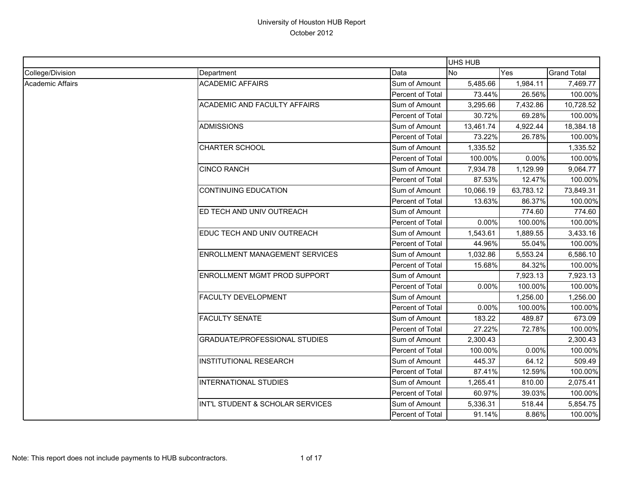|                  |                                       |                  | UHS HUB   |            |                    |
|------------------|---------------------------------------|------------------|-----------|------------|--------------------|
| College/Division | Department                            | Data             | <b>No</b> | <b>Yes</b> | <b>Grand Total</b> |
| Academic Affairs | <b>ACADEMIC AFFAIRS</b>               | Sum of Amount    | 5,485.66  | 1,984.11   | 7,469.77           |
|                  |                                       | Percent of Total | 73.44%    | 26.56%     | 100.00%            |
|                  | <b>ACADEMIC AND FACULTY AFFAIRS</b>   | Sum of Amount    | 3,295.66  | 7,432.86   | 10,728.52          |
|                  |                                       | Percent of Total | 30.72%    | 69.28%     | 100.00%            |
|                  | <b>ADMISSIONS</b>                     | Sum of Amount    | 13,461.74 | 4,922.44   | 18,384.18          |
|                  |                                       | Percent of Total | 73.22%    | 26.78%     | 100.00%            |
|                  | <b>CHARTER SCHOOL</b>                 | Sum of Amount    | 1,335.52  |            | 1,335.52           |
|                  |                                       | Percent of Total | 100.00%   | 0.00%      | 100.00%            |
|                  | <b>CINCO RANCH</b>                    | Sum of Amount    | 7,934.78  | 1,129.99   | 9,064.77           |
|                  |                                       | Percent of Total | 87.53%    | 12.47%     | 100.00%            |
|                  | <b>CONTINUING EDUCATION</b>           | Sum of Amount    | 10,066.19 | 63,783.12  | 73,849.31          |
|                  |                                       | Percent of Total | 13.63%    | 86.37%     | 100.00%            |
|                  | ED TECH AND UNIV OUTREACH             | Sum of Amount    |           | 774.60     | 774.60             |
|                  |                                       | Percent of Total | 0.00%     | 100.00%    | 100.00%            |
|                  | EDUC TECH AND UNIV OUTREACH           | Sum of Amount    | 1,543.61  | 1,889.55   | 3,433.16           |
|                  |                                       | Percent of Total | 44.96%    | 55.04%     | 100.00%            |
|                  | <b>ENROLLMENT MANAGEMENT SERVICES</b> | Sum of Amount    | 1,032.86  | 5,553.24   | 6,586.10           |
|                  |                                       | Percent of Total | 15.68%    | 84.32%     | 100.00%            |
|                  | ENROLLMENT MGMT PROD SUPPORT          | Sum of Amount    |           | 7,923.13   | 7,923.13           |
|                  |                                       | Percent of Total | 0.00%     | 100.00%    | 100.00%            |
|                  | <b>FACULTY DEVELOPMENT</b>            | Sum of Amount    |           | 1,256.00   | 1,256.00           |
|                  |                                       | Percent of Total | 0.00%     | 100.00%    | 100.00%            |
|                  | <b>FACULTY SENATE</b>                 | Sum of Amount    | 183.22    | 489.87     | 673.09             |
|                  |                                       | Percent of Total | 27.22%    | 72.78%     | 100.00%            |
|                  | <b>GRADUATE/PROFESSIONAL STUDIES</b>  | Sum of Amount    | 2,300.43  |            | 2,300.43           |
|                  |                                       | Percent of Total | 100.00%   | 0.00%      | 100.00%            |
|                  | <b>INSTITUTIONAL RESEARCH</b>         | Sum of Amount    | 445.37    | 64.12      | 509.49             |
|                  |                                       | Percent of Total | 87.41%    | 12.59%     | 100.00%            |
|                  | INTERNATIONAL STUDIES                 | Sum of Amount    | 1,265.41  | 810.00     | 2,075.41           |
|                  |                                       | Percent of Total | 60.97%    | 39.03%     | 100.00%            |
|                  | INT'L STUDENT & SCHOLAR SERVICES      | Sum of Amount    | 5,336.31  | 518.44     | 5,854.75           |
|                  |                                       | Percent of Total | 91.14%    | 8.86%      | 100.00%            |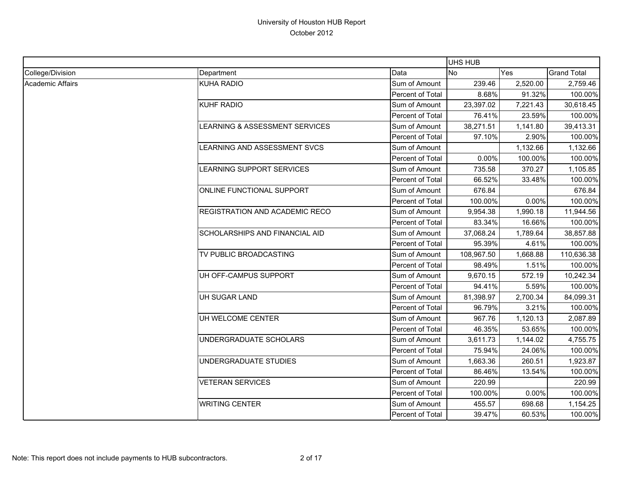|                  |                                       |                  | <b>UHS HUB</b> |          |                    |
|------------------|---------------------------------------|------------------|----------------|----------|--------------------|
| College/Division | Department                            | Data             | <b>No</b>      | Yes      | <b>Grand Total</b> |
| Academic Affairs | <b>KUHA RADIO</b>                     | Sum of Amount    | 239.46         | 2,520.00 | 2,759.46           |
|                  |                                       | Percent of Total | 8.68%          | 91.32%   | 100.00%            |
|                  | <b>KUHF RADIO</b>                     | Sum of Amount    | 23,397.02      | 7,221.43 | 30,618.45          |
|                  |                                       | Percent of Total | 76.41%         | 23.59%   | 100.00%            |
|                  | LEARNING & ASSESSMENT SERVICES        | Sum of Amount    | 38,271.51      | 1,141.80 | 39,413.31          |
|                  |                                       | Percent of Total | 97.10%         | 2.90%    | 100.00%            |
|                  | LEARNING AND ASSESSMENT SVCS          | Sum of Amount    |                | 1,132.66 | 1,132.66           |
|                  |                                       | Percent of Total | 0.00%          | 100.00%  | 100.00%            |
|                  | LEARNING SUPPORT SERVICES             | Sum of Amount    | 735.58         | 370.27   | 1,105.85           |
|                  |                                       | Percent of Total | 66.52%         | 33.48%   | 100.00%            |
|                  | ONLINE FUNCTIONAL SUPPORT             | Sum of Amount    | 676.84         |          | 676.84             |
|                  |                                       | Percent of Total | 100.00%        | 0.00%    | 100.00%            |
|                  | <b>REGISTRATION AND ACADEMIC RECO</b> | Sum of Amount    | 9,954.38       | 1,990.18 | 11,944.56          |
|                  |                                       | Percent of Total | 83.34%         | 16.66%   | 100.00%            |
|                  | SCHOLARSHIPS AND FINANCIAL AID        | Sum of Amount    | 37,068.24      | 1,789.64 | 38,857.88          |
|                  |                                       | Percent of Total | 95.39%         | 4.61%    | 100.00%            |
|                  | TV PUBLIC BROADCASTING                | Sum of Amount    | 108,967.50     | 1,668.88 | 110,636.38         |
|                  |                                       | Percent of Total | 98.49%         | 1.51%    | 100.00%            |
|                  | UH OFF-CAMPUS SUPPORT                 | Sum of Amount    | 9,670.15       | 572.19   | 10,242.34          |
|                  |                                       | Percent of Total | 94.41%         | 5.59%    | 100.00%            |
|                  | UH SUGAR LAND                         | Sum of Amount    | 81,398.97      | 2,700.34 | 84,099.31          |
|                  |                                       | Percent of Total | 96.79%         | 3.21%    | 100.00%            |
|                  | UH WELCOME CENTER                     | Sum of Amount    | 967.76         | 1,120.13 | 2,087.89           |
|                  |                                       | Percent of Total | 46.35%         | 53.65%   | 100.00%            |
|                  | UNDERGRADUATE SCHOLARS                | Sum of Amount    | 3,611.73       | 1,144.02 | 4,755.75           |
|                  |                                       | Percent of Total | 75.94%         | 24.06%   | 100.00%            |
|                  | UNDERGRADUATE STUDIES                 | Sum of Amount    | 1,663.36       | 260.51   | 1,923.87           |
|                  |                                       | Percent of Total | 86.46%         | 13.54%   | 100.00%            |
|                  | <b>VETERAN SERVICES</b>               | Sum of Amount    | 220.99         |          | 220.99             |
|                  |                                       | Percent of Total | 100.00%        | 0.00%    | 100.00%            |
|                  | <b>WRITING CENTER</b>                 | Sum of Amount    | 455.57         | 698.68   | 1,154.25           |
|                  |                                       | Percent of Total | 39.47%         | 60.53%   | 100.00%            |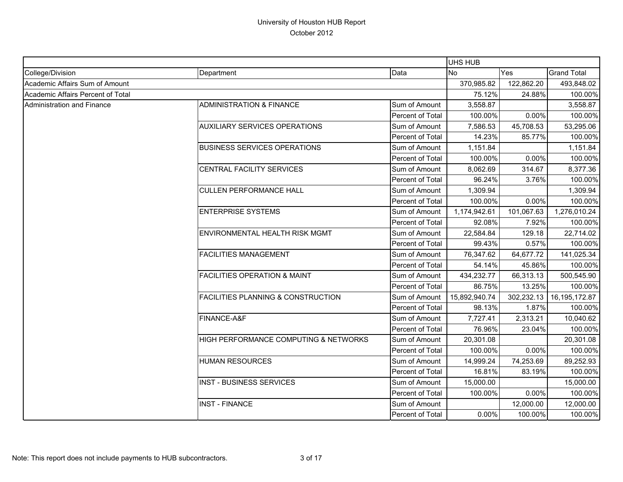|                                   |                                               |                  | UHS HUB       |            |                    |
|-----------------------------------|-----------------------------------------------|------------------|---------------|------------|--------------------|
| College/Division                  | Department                                    | Data             | <b>No</b>     | Yes        | <b>Grand Total</b> |
| Academic Affairs Sum of Amount    |                                               |                  | 370,985.82    | 122,862.20 | 493,848.02         |
| Academic Affairs Percent of Total |                                               |                  | 75.12%        | 24.88%     | 100.00%            |
| <b>Administration and Finance</b> | <b>ADMINISTRATION &amp; FINANCE</b>           | Sum of Amount    | 3,558.87      |            | 3,558.87           |
|                                   |                                               | Percent of Total | 100.00%       | 0.00%      | 100.00%            |
|                                   | <b>AUXILIARY SERVICES OPERATIONS</b>          | Sum of Amount    | 7,586.53      | 45,708.53  | 53,295.06          |
|                                   |                                               | Percent of Total | 14.23%        | 85.77%     | 100.00%            |
|                                   | <b>BUSINESS SERVICES OPERATIONS</b>           | Sum of Amount    | 1,151.84      |            | 1,151.84           |
|                                   |                                               | Percent of Total | 100.00%       | 0.00%      | 100.00%            |
|                                   | CENTRAL FACILITY SERVICES                     | Sum of Amount    | 8,062.69      | 314.67     | 8,377.36           |
|                                   |                                               | Percent of Total | 96.24%        | 3.76%      | 100.00%            |
|                                   | <b>CULLEN PERFORMANCE HALL</b>                | Sum of Amount    | 1,309.94      |            | 1,309.94           |
|                                   |                                               | Percent of Total | 100.00%       | 0.00%      | 100.00%            |
|                                   | <b>ENTERPRISE SYSTEMS</b>                     | Sum of Amount    | 1,174,942.61  | 101,067.63 | 1,276,010.24       |
|                                   |                                               | Percent of Total | 92.08%        | 7.92%      | 100.00%            |
|                                   | <b>ENVIRONMENTAL HEALTH RISK MGMT</b>         | Sum of Amount    | 22,584.84     | 129.18     | 22,714.02          |
|                                   |                                               | Percent of Total | 99.43%        | 0.57%      | 100.00%            |
|                                   | <b>FACILITIES MANAGEMENT</b>                  | Sum of Amount    | 76,347.62     | 64,677.72  | 141,025.34         |
|                                   |                                               | Percent of Total | 54.14%        | 45.86%     | 100.00%            |
|                                   | <b>FACILITIES OPERATION &amp; MAINT</b>       | Sum of Amount    | 434,232.77    | 66,313.13  | 500,545.90         |
|                                   |                                               | Percent of Total | 86.75%        | 13.25%     | 100.00%            |
|                                   | <b>FACILITIES PLANNING &amp; CONSTRUCTION</b> | Sum of Amount    | 15,892,940.74 | 302,232.13 | 16,195,172.87      |
|                                   |                                               | Percent of Total | 98.13%        | 1.87%      | 100.00%            |
|                                   | FINANCE-A&F                                   | Sum of Amount    | 7,727.41      | 2,313.21   | 10,040.62          |
|                                   |                                               | Percent of Total | 76.96%        | 23.04%     | 100.00%            |
|                                   | HIGH PERFORMANCE COMPUTING & NETWORKS         | Sum of Amount    | 20,301.08     |            | 20,301.08          |
|                                   |                                               | Percent of Total | 100.00%       | 0.00%      | 100.00%            |
|                                   | <b>HUMAN RESOURCES</b>                        | Sum of Amount    | 14,999.24     | 74,253.69  | 89,252.93          |
|                                   |                                               | Percent of Total | 16.81%        | 83.19%     | 100.00%            |
|                                   | <b>INST - BUSINESS SERVICES</b>               | Sum of Amount    | 15,000.00     |            | 15,000.00          |
|                                   |                                               | Percent of Total | 100.00%       | 0.00%      | 100.00%            |
|                                   | <b>INST - FINANCE</b>                         | Sum of Amount    |               | 12,000.00  | 12,000.00          |
|                                   |                                               | Percent of Total | 0.00%         | 100.00%    | 100.00%            |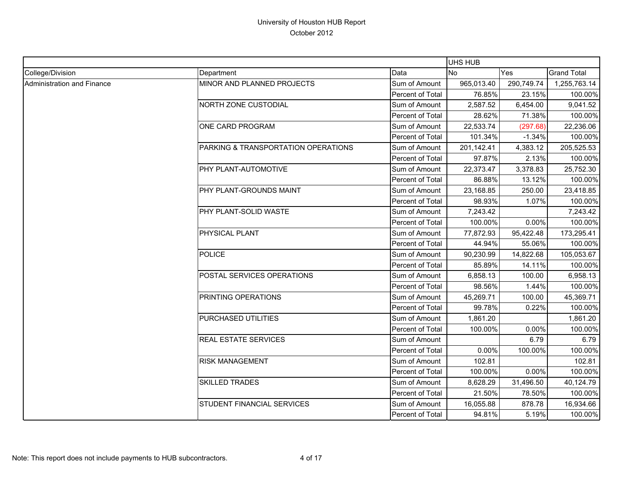|                            |                                     |                  | UHS HUB    |            |                    |
|----------------------------|-------------------------------------|------------------|------------|------------|--------------------|
| College/Division           | Department                          | Data             | <b>No</b>  | Yes        | <b>Grand Total</b> |
| Administration and Finance | MINOR AND PLANNED PROJECTS          | Sum of Amount    | 965,013.40 | 290,749.74 | 1,255,763.14       |
|                            |                                     | Percent of Total | 76.85%     | 23.15%     | 100.00%            |
|                            | NORTH ZONE CUSTODIAL                | Sum of Amount    | 2,587.52   | 6,454.00   | 9,041.52           |
|                            |                                     | Percent of Total | 28.62%     | 71.38%     | 100.00%            |
|                            | ONE CARD PROGRAM                    | Sum of Amount    | 22,533.74  | (297.68)   | 22,236.06          |
|                            |                                     | Percent of Total | 101.34%    | $-1.34%$   | 100.00%            |
|                            | PARKING & TRANSPORTATION OPERATIONS | Sum of Amount    | 201,142.41 | 4,383.12   | 205,525.53         |
|                            |                                     | Percent of Total | 97.87%     | 2.13%      | 100.00%            |
|                            | PHY PLANT-AUTOMOTIVE                | Sum of Amount    | 22,373.47  | 3,378.83   | 25,752.30          |
|                            |                                     | Percent of Total | 86.88%     | 13.12%     | 100.00%            |
|                            | PHY PLANT-GROUNDS MAINT             | Sum of Amount    | 23,168.85  | 250.00     | 23,418.85          |
|                            |                                     | Percent of Total | 98.93%     | 1.07%      | 100.00%            |
|                            | PHY PLANT-SOLID WASTE               | Sum of Amount    | 7,243.42   |            | 7,243.42           |
|                            |                                     | Percent of Total | 100.00%    | 0.00%      | 100.00%            |
|                            | PHYSICAL PLANT                      | Sum of Amount    | 77,872.93  | 95,422.48  | 173,295.41         |
|                            |                                     | Percent of Total | 44.94%     | 55.06%     | 100.00%            |
|                            | <b>POLICE</b>                       | Sum of Amount    | 90,230.99  | 14,822.68  | 105,053.67         |
|                            |                                     | Percent of Total | 85.89%     | 14.11%     | 100.00%            |
|                            | POSTAL SERVICES OPERATIONS          | Sum of Amount    | 6,858.13   | 100.00     | 6,958.13           |
|                            |                                     | Percent of Total | 98.56%     | 1.44%      | 100.00%            |
|                            | PRINTING OPERATIONS                 | Sum of Amount    | 45,269.71  | 100.00     | 45,369.71          |
|                            |                                     | Percent of Total | 99.78%     | 0.22%      | 100.00%            |
|                            | PURCHASED UTILITIES                 | Sum of Amount    | 1,861.20   |            | 1,861.20           |
|                            |                                     | Percent of Total | 100.00%    | 0.00%      | 100.00%            |
|                            | <b>REAL ESTATE SERVICES</b>         | Sum of Amount    |            | 6.79       | 6.79               |
|                            |                                     | Percent of Total | 0.00%      | 100.00%    | 100.00%            |
|                            | <b>RISK MANAGEMENT</b>              | Sum of Amount    | 102.81     |            | 102.81             |
|                            |                                     | Percent of Total | 100.00%    | 0.00%      | 100.00%            |
|                            | <b>SKILLED TRADES</b>               | Sum of Amount    | 8,628.29   | 31,496.50  | 40,124.79          |
|                            |                                     | Percent of Total | 21.50%     | 78.50%     | 100.00%            |
|                            | STUDENT FINANCIAL SERVICES          | Sum of Amount    | 16,055.88  | 878.78     | 16,934.66          |
|                            |                                     | Percent of Total | 94.81%     | 5.19%      | 100.00%            |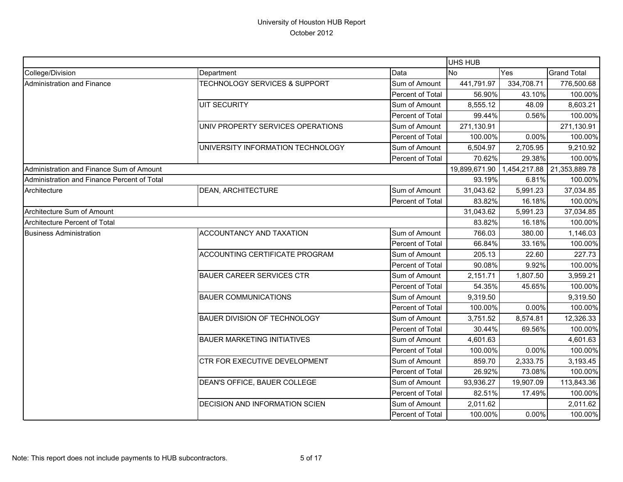|                                             |                                          |                  | <b>UHS HUB</b> |            |                            |
|---------------------------------------------|------------------------------------------|------------------|----------------|------------|----------------------------|
| College/Division                            | Department                               | Data             | <b>No</b>      | Yes        | <b>Grand Total</b>         |
| Administration and Finance                  | <b>TECHNOLOGY SERVICES &amp; SUPPORT</b> | Sum of Amount    | 441,791.97     | 334,708.71 | 776,500.68                 |
|                                             |                                          | Percent of Total | 56.90%         | 43.10%     | 100.00%                    |
|                                             | <b>UIT SECURITY</b>                      | Sum of Amount    | 8,555.12       | 48.09      | 8,603.21                   |
|                                             |                                          | Percent of Total | 99.44%         | 0.56%      | 100.00%                    |
|                                             | UNIV PROPERTY SERVICES OPERATIONS        | Sum of Amount    | 271,130.91     |            | 271,130.91                 |
|                                             |                                          | Percent of Total | 100.00%        | 0.00%      | 100.00%                    |
|                                             | UNIVERSITY INFORMATION TECHNOLOGY        | Sum of Amount    | 6,504.97       | 2,705.95   | 9,210.92                   |
|                                             |                                          | Percent of Total | 70.62%         | 29.38%     | 100.00%                    |
| Administration and Finance Sum of Amount    |                                          |                  | 19,899,671.90  |            | 1,454,217.88 21,353,889.78 |
| Administration and Finance Percent of Total |                                          |                  | 93.19%         | 6.81%      | 100.00%                    |
| Architecture                                | <b>DEAN, ARCHITECTURE</b>                | Sum of Amount    | 31,043.62      | 5,991.23   | 37,034.85                  |
|                                             |                                          | Percent of Total | 83.82%         | 16.18%     | 100.00%                    |
| Architecture Sum of Amount                  |                                          |                  | 31,043.62      | 5,991.23   | 37,034.85                  |
| Architecture Percent of Total               |                                          |                  | 83.82%         | 16.18%     | 100.00%                    |
| <b>Business Administration</b>              | ACCOUNTANCY AND TAXATION                 | Sum of Amount    | 766.03         | 380.00     | 1,146.03                   |
|                                             |                                          | Percent of Total | 66.84%         | 33.16%     | 100.00%                    |
|                                             | ACCOUNTING CERTIFICATE PROGRAM           | Sum of Amount    | 205.13         | 22.60      | 227.73                     |
|                                             |                                          | Percent of Total | 90.08%         | 9.92%      | 100.00%                    |
|                                             | <b>BAUER CAREER SERVICES CTR</b>         | Sum of Amount    | 2,151.71       | 1,807.50   | 3,959.21                   |
|                                             |                                          | Percent of Total | 54.35%         | 45.65%     | 100.00%                    |
|                                             | <b>BAUER COMMUNICATIONS</b>              | Sum of Amount    | 9,319.50       |            | 9,319.50                   |
|                                             |                                          | Percent of Total | 100.00%        | 0.00%      | 100.00%                    |
|                                             | BAUER DIVISION OF TECHNOLOGY             | Sum of Amount    | 3,751.52       | 8,574.81   | 12,326.33                  |
|                                             |                                          | Percent of Total | 30.44%         | 69.56%     | 100.00%                    |
|                                             | <b>BAUER MARKETING INITIATIVES</b>       | Sum of Amount    | 4,601.63       |            | 4,601.63                   |
|                                             |                                          | Percent of Total | 100.00%        | 0.00%      | 100.00%                    |
|                                             | CTR FOR EXECUTIVE DEVELOPMENT            | Sum of Amount    | 859.70         | 2,333.75   | 3,193.45                   |
|                                             |                                          | Percent of Total | 26.92%         | 73.08%     | 100.00%                    |
|                                             | DEAN'S OFFICE, BAUER COLLEGE             | Sum of Amount    | 93,936.27      | 19,907.09  | 113,843.36                 |
|                                             |                                          | Percent of Total | 82.51%         | 17.49%     | 100.00%                    |
|                                             | DECISION AND INFORMATION SCIEN           | Sum of Amount    | 2,011.62       |            | 2,011.62                   |
|                                             |                                          | Percent of Total | 100.00%        | 0.00%      | 100.00%                    |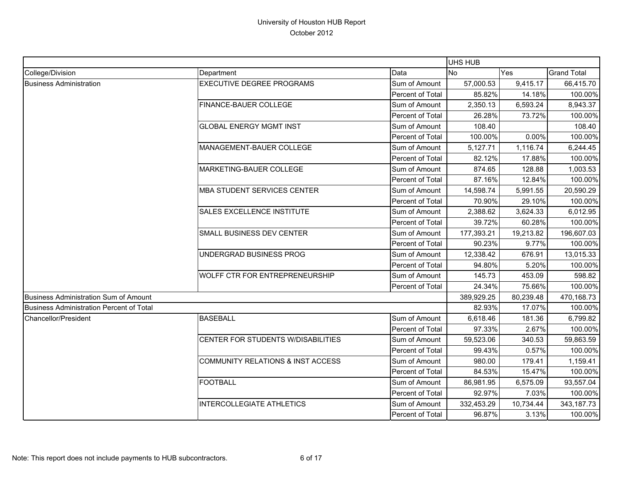|                                          |                                    |                  | UHS HUB    |           |                    |
|------------------------------------------|------------------------------------|------------------|------------|-----------|--------------------|
| College/Division                         | Department                         | Data             | <b>No</b>  | Yes       | <b>Grand Total</b> |
| <b>Business Administration</b>           | <b>EXECUTIVE DEGREE PROGRAMS</b>   | Sum of Amount    | 57,000.53  | 9,415.17  | 66,415.70          |
|                                          |                                    | Percent of Total | 85.82%     | 14.18%    | 100.00%            |
|                                          | <b>FINANCE-BAUER COLLEGE</b>       | Sum of Amount    | 2,350.13   | 6,593.24  | 8,943.37           |
|                                          |                                    | Percent of Total | 26.28%     | 73.72%    | 100.00%            |
|                                          | <b>GLOBAL ENERGY MGMT INST</b>     | Sum of Amount    | 108.40     |           | 108.40             |
|                                          |                                    | Percent of Total | 100.00%    | 0.00%     | 100.00%            |
|                                          | MANAGEMENT-BAUER COLLEGE           | Sum of Amount    | 5,127.71   | 1,116.74  | 6,244.45           |
|                                          |                                    | Percent of Total | 82.12%     | 17.88%    | 100.00%            |
|                                          | MARKETING-BAUER COLLEGE            | Sum of Amount    | 874.65     | 128.88    | 1,003.53           |
|                                          |                                    | Percent of Total | 87.16%     | 12.84%    | 100.00%            |
|                                          | <b>MBA STUDENT SERVICES CENTER</b> | Sum of Amount    | 14,598.74  | 5,991.55  | 20,590.29          |
|                                          |                                    | Percent of Total | 70.90%     | 29.10%    | 100.00%            |
|                                          | SALES EXCELLENCE INSTITUTE         | Sum of Amount    | 2,388.62   | 3,624.33  | 6,012.95           |
|                                          |                                    | Percent of Total | 39.72%     | 60.28%    | 100.00%            |
|                                          | SMALL BUSINESS DEV CENTER          | Sum of Amount    | 177,393.21 | 19,213.82 | 196,607.03         |
|                                          |                                    | Percent of Total | 90.23%     | 9.77%     | 100.00%            |
|                                          | UNDERGRAD BUSINESS PROG            | Sum of Amount    | 12,338.42  | 676.91    | 13,015.33          |
|                                          |                                    | Percent of Total | 94.80%     | 5.20%     | 100.00%            |
|                                          | WOLFF CTR FOR ENTREPRENEURSHIP     | Sum of Amount    | 145.73     | 453.09    | 598.82             |
|                                          |                                    | Percent of Total | 24.34%     | 75.66%    | 100.00%            |
| Business Administration Sum of Amount    |                                    |                  | 389,929.25 | 80,239.48 | 470,168.73         |
| Business Administration Percent of Total |                                    |                  | 82.93%     | 17.07%    | 100.00%            |
| Chancellor/President                     | <b>BASEBALL</b>                    | Sum of Amount    | 6,618.46   | 181.36    | 6,799.82           |
|                                          |                                    | Percent of Total | 97.33%     | 2.67%     | 100.00%            |
|                                          | CENTER FOR STUDENTS W/DISABILITIES | Sum of Amount    | 59,523.06  | 340.53    | 59,863.59          |
|                                          |                                    | Percent of Total | 99.43%     | 0.57%     | 100.00%            |
|                                          | COMMUNITY RELATIONS & INST ACCESS  | Sum of Amount    | 980.00     | 179.41    | 1,159.41           |
|                                          |                                    | Percent of Total | 84.53%     | 15.47%    | 100.00%            |
|                                          | <b>FOOTBALL</b>                    | Sum of Amount    | 86,981.95  | 6,575.09  | 93,557.04          |
|                                          |                                    | Percent of Total | 92.97%     | 7.03%     | 100.00%            |
|                                          | <b>INTERCOLLEGIATE ATHLETICS</b>   | Sum of Amount    | 332,453.29 | 10,734.44 | 343,187.73         |
|                                          |                                    | Percent of Total | 96.87%     | 3.13%     | 100.00%            |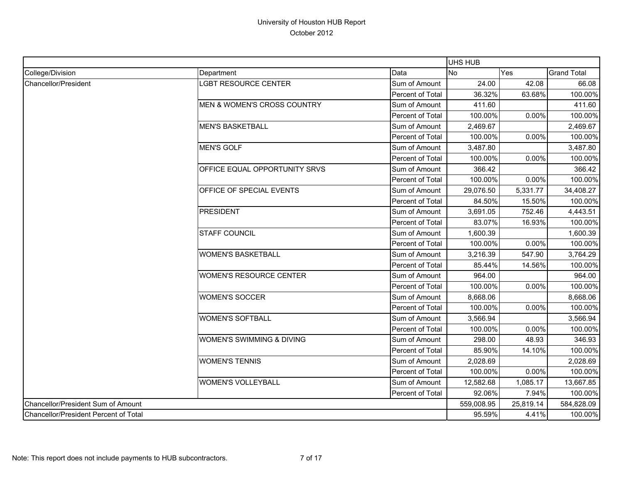|                                       |                                        |                  | <b>UHS HUB</b> |           |                    |
|---------------------------------------|----------------------------------------|------------------|----------------|-----------|--------------------|
| College/Division                      | Department                             | Data             | <b>No</b>      | Yes       | <b>Grand Total</b> |
| <b>Chancellor/President</b>           | LGBT RESOURCE CENTER                   | Sum of Amount    | 24.00          | 42.08     | 66.08              |
|                                       |                                        | Percent of Total | 36.32%         | 63.68%    | 100.00%            |
|                                       | <b>MEN &amp; WOMEN'S CROSS COUNTRY</b> | Sum of Amount    | 411.60         |           | 411.60             |
|                                       |                                        | Percent of Total | 100.00%        | 0.00%     | 100.00%            |
|                                       | <b>MEN'S BASKETBALL</b>                | Sum of Amount    | 2,469.67       |           | 2,469.67           |
|                                       |                                        | Percent of Total | 100.00%        | 0.00%     | 100.00%            |
|                                       | <b>MEN'S GOLF</b>                      | Sum of Amount    | 3,487.80       |           | 3,487.80           |
|                                       |                                        | Percent of Total | 100.00%        | $0.00\%$  | 100.00%            |
|                                       | OFFICE EQUAL OPPORTUNITY SRVS          | Sum of Amount    | 366.42         |           | 366.42             |
|                                       |                                        | Percent of Total | 100.00%        | 0.00%     | 100.00%            |
|                                       | OFFICE OF SPECIAL EVENTS               | Sum of Amount    | 29,076.50      | 5,331.77  | 34,408.27          |
|                                       |                                        | Percent of Total | 84.50%         | 15.50%    | 100.00%            |
|                                       | <b>PRESIDENT</b>                       | Sum of Amount    | 3,691.05       | 752.46    | 4,443.51           |
|                                       |                                        | Percent of Total | 83.07%         | 16.93%    | 100.00%            |
|                                       | <b>STAFF COUNCIL</b>                   | Sum of Amount    | 1,600.39       |           | 1,600.39           |
|                                       |                                        | Percent of Total | 100.00%        | 0.00%     | 100.00%            |
|                                       | <b>WOMEN'S BASKETBALL</b>              | Sum of Amount    | 3,216.39       | 547.90    | 3,764.29           |
|                                       |                                        | Percent of Total | 85.44%         | 14.56%    | 100.00%            |
|                                       | <b>WOMEN'S RESOURCE CENTER</b>         | Sum of Amount    | 964.00         |           | 964.00             |
|                                       |                                        | Percent of Total | 100.00%        | 0.00%     | 100.00%            |
|                                       | <b>WOMEN'S SOCCER</b>                  | Sum of Amount    | 8,668.06       |           | 8,668.06           |
|                                       |                                        | Percent of Total | 100.00%        | 0.00%     | 100.00%            |
|                                       | <b>WOMEN'S SOFTBALL</b>                | Sum of Amount    | 3,566.94       |           | 3,566.94           |
|                                       |                                        | Percent of Total | 100.00%        | 0.00%     | 100.00%            |
|                                       | WOMEN'S SWIMMING & DIVING              | Sum of Amount    | 298.00         | 48.93     | 346.93             |
|                                       |                                        | Percent of Total | 85.90%         | 14.10%    | 100.00%            |
|                                       | <b>WOMEN'S TENNIS</b>                  | Sum of Amount    | 2,028.69       |           | 2,028.69           |
|                                       |                                        | Percent of Total | 100.00%        | 0.00%     | 100.00%            |
|                                       | <b>WOMEN'S VOLLEYBALL</b>              | Sum of Amount    | 12,582.68      | 1,085.17  | 13,667.85          |
|                                       |                                        | Percent of Total | 92.06%         | 7.94%     | 100.00%            |
| Chancellor/President Sum of Amount    |                                        |                  | 559,008.95     | 25,819.14 | 584,828.09         |
| Chancellor/President Percent of Total |                                        |                  | 95.59%         | 4.41%     | 100.00%            |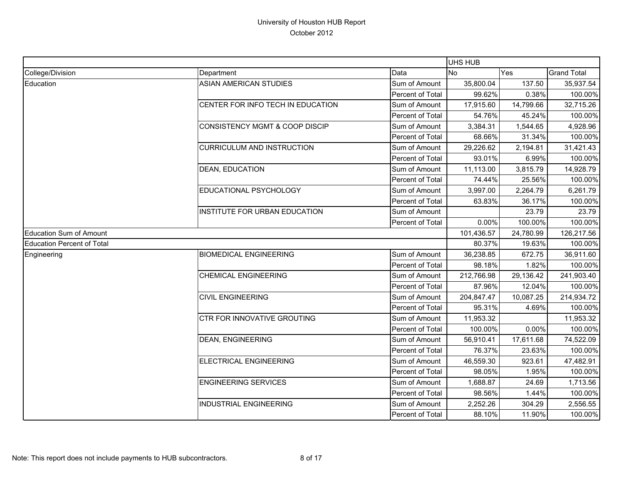|                                   |                                           |                  | UHS HUB    |           |                    |
|-----------------------------------|-------------------------------------------|------------------|------------|-----------|--------------------|
| College/Division                  | Department                                | Data             | <b>No</b>  | Yes       | <b>Grand Total</b> |
| Education                         | <b>ASIAN AMERICAN STUDIES</b>             | Sum of Amount    | 35,800.04  | 137.50    | 35,937.54          |
|                                   |                                           | Percent of Total | 99.62%     | 0.38%     | 100.00%            |
|                                   | CENTER FOR INFO TECH IN EDUCATION         | Sum of Amount    | 17,915.60  | 14,799.66 | 32,715.26          |
|                                   |                                           | Percent of Total | 54.76%     | 45.24%    | 100.00%            |
|                                   | <b>CONSISTENCY MGMT &amp; COOP DISCIP</b> | Sum of Amount    | 3,384.31   | 1,544.65  | 4,928.96           |
|                                   |                                           | Percent of Total | 68.66%     | 31.34%    | 100.00%            |
|                                   | <b>CURRICULUM AND INSTRUCTION</b>         | Sum of Amount    | 29,226.62  | 2,194.81  | 31,421.43          |
|                                   |                                           | Percent of Total | 93.01%     | 6.99%     | 100.00%            |
|                                   | DEAN, EDUCATION                           | Sum of Amount    | 11,113.00  | 3,815.79  | 14,928.79          |
|                                   |                                           | Percent of Total | 74.44%     | 25.56%    | 100.00%            |
|                                   | EDUCATIONAL PSYCHOLOGY                    | Sum of Amount    | 3,997.00   | 2,264.79  | 6,261.79           |
|                                   |                                           | Percent of Total | 63.83%     | 36.17%    | 100.00%            |
|                                   | <b>INSTITUTE FOR URBAN EDUCATION</b>      | Sum of Amount    |            | 23.79     | 23.79              |
|                                   |                                           | Percent of Total | 0.00%      | 100.00%   | 100.00%            |
| <b>Education Sum of Amount</b>    |                                           |                  | 101,436.57 | 24,780.99 | 126,217.56         |
| <b>Education Percent of Total</b> |                                           |                  | 80.37%     | 19.63%    | 100.00%            |
| Engineering                       | <b>BIOMEDICAL ENGINEERING</b>             | Sum of Amount    | 36,238.85  | 672.75    | 36,911.60          |
|                                   |                                           | Percent of Total | 98.18%     | 1.82%     | 100.00%            |
|                                   | <b>CHEMICAL ENGINEERING</b>               | Sum of Amount    | 212,766.98 | 29,136.42 | 241,903.40         |
|                                   |                                           | Percent of Total | 87.96%     | 12.04%    | 100.00%            |
|                                   | <b>CIVIL ENGINEERING</b>                  | Sum of Amount    | 204,847.47 | 10,087.25 | 214,934.72         |
|                                   |                                           | Percent of Total | 95.31%     | 4.69%     | 100.00%            |
|                                   | CTR FOR INNOVATIVE GROUTING               | Sum of Amount    | 11,953.32  |           | 11,953.32          |
|                                   |                                           | Percent of Total | 100.00%    | 0.00%     | 100.00%            |
|                                   | <b>DEAN, ENGINEERING</b>                  | Sum of Amount    | 56,910.41  | 17,611.68 | 74,522.09          |
|                                   |                                           | Percent of Total | 76.37%     | 23.63%    | 100.00%            |
|                                   | ELECTRICAL ENGINEERING                    | Sum of Amount    | 46,559.30  | 923.61    | 47,482.91          |
|                                   |                                           | Percent of Total | 98.05%     | 1.95%     | 100.00%            |
|                                   | <b>ENGINEERING SERVICES</b>               | Sum of Amount    | 1,688.87   | 24.69     | 1,713.56           |
|                                   |                                           | Percent of Total | 98.56%     | 1.44%     | 100.00%            |
|                                   | <b>INDUSTRIAL ENGINEERING</b>             | Sum of Amount    | 2,252.26   | 304.29    | 2,556.55           |
|                                   |                                           | Percent of Total | 88.10%     | 11.90%    | 100.00%            |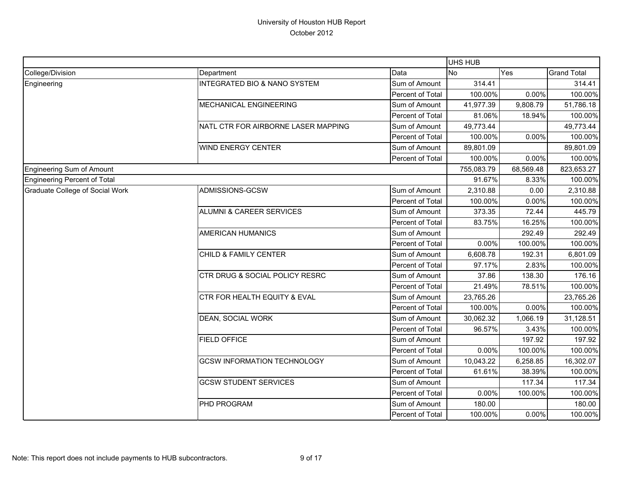|                                 |                                         |                  | <b>UHS HUB</b> |           |                    |
|---------------------------------|-----------------------------------------|------------------|----------------|-----------|--------------------|
| College/Division                | Department                              | Data             | <b>No</b>      | Yes       | <b>Grand Total</b> |
| Engineering                     | <b>INTEGRATED BIO &amp; NANO SYSTEM</b> | Sum of Amount    | 314.41         |           | 314.41             |
|                                 |                                         | Percent of Total | 100.00%        | 0.00%     | 100.00%            |
|                                 | MECHANICAL ENGINEERING                  | Sum of Amount    | 41,977.39      | 9,808.79  | 51,786.18          |
|                                 |                                         | Percent of Total | 81.06%         | 18.94%    | 100.00%            |
|                                 | NATL CTR FOR AIRBORNE LASER MAPPING     | Sum of Amount    | 49,773.44      |           | 49,773.44          |
|                                 |                                         | Percent of Total | 100.00%        | 0.00%     | 100.00%            |
|                                 | WIND ENERGY CENTER                      | Sum of Amount    | 89,801.09      |           | 89,801.09          |
|                                 |                                         | Percent of Total | 100.00%        | 0.00%     | 100.00%            |
| Engineering Sum of Amount       |                                         |                  | 755,083.79     | 68,569.48 | 823,653.27         |
| Engineering Percent of Total    |                                         |                  | 91.67%         | 8.33%     | 100.00%            |
| Graduate College of Social Work | ADMISSIONS-GCSW                         | Sum of Amount    | 2,310.88       | 0.00      | 2,310.88           |
|                                 |                                         | Percent of Total | 100.00%        | 0.00%     | 100.00%            |
|                                 | <b>ALUMNI &amp; CAREER SERVICES</b>     | Sum of Amount    | 373.35         | 72.44     | 445.79             |
|                                 |                                         | Percent of Total | 83.75%         | 16.25%    | 100.00%            |
|                                 | <b>AMERICAN HUMANICS</b>                | Sum of Amount    |                | 292.49    | 292.49             |
|                                 |                                         | Percent of Total | 0.00%          | 100.00%   | 100.00%            |
|                                 | CHILD & FAMILY CENTER                   | Sum of Amount    | 6,608.78       | 192.31    | 6,801.09           |
|                                 |                                         | Percent of Total | 97.17%         | 2.83%     | 100.00%            |
|                                 | CTR DRUG & SOCIAL POLICY RESRC          | Sum of Amount    | 37.86          | 138.30    | 176.16             |
|                                 |                                         | Percent of Total | 21.49%         | 78.51%    | 100.00%            |
|                                 | CTR FOR HEALTH EQUITY & EVAL            | Sum of Amount    | 23,765.26      |           | 23,765.26          |
|                                 |                                         | Percent of Total | 100.00%        | 0.00%     | 100.00%            |
|                                 | DEAN, SOCIAL WORK                       | Sum of Amount    | 30,062.32      | 1,066.19  | 31,128.51          |
|                                 |                                         | Percent of Total | 96.57%         | 3.43%     | 100.00%            |
|                                 | <b>FIELD OFFICE</b>                     | Sum of Amount    |                | 197.92    | 197.92             |
|                                 |                                         | Percent of Total | 0.00%          | 100.00%   | 100.00%            |
|                                 | <b>GCSW INFORMATION TECHNOLOGY</b>      | Sum of Amount    | 10,043.22      | 6,258.85  | 16,302.07          |
|                                 |                                         | Percent of Total | 61.61%         | 38.39%    | 100.00%            |
|                                 | <b>GCSW STUDENT SERVICES</b>            | Sum of Amount    |                | 117.34    | 117.34             |
|                                 |                                         | Percent of Total | 0.00%          | 100.00%   | 100.00%            |
|                                 | PHD PROGRAM                             | Sum of Amount    | 180.00         |           | 180.00             |
|                                 |                                         | Percent of Total | 100.00%        | 0.00%     | 100.00%            |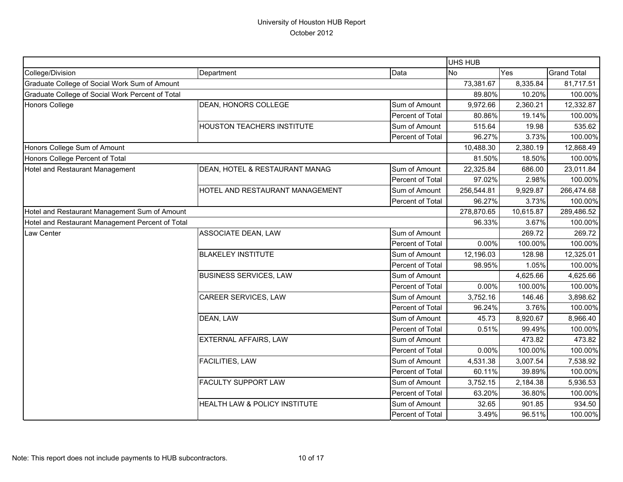|                                                  |                                          |                  | UHS HUB    |           |                    |
|--------------------------------------------------|------------------------------------------|------------------|------------|-----------|--------------------|
| College/Division                                 | Department                               | Data             | <b>No</b>  | Yes       | <b>Grand Total</b> |
| Graduate College of Social Work Sum of Amount    |                                          |                  | 73,381.67  | 8,335.84  | 81,717.51          |
| Graduate College of Social Work Percent of Total |                                          | 89.80%           | 10.20%     | 100.00%   |                    |
| <b>Honors College</b>                            | <b>DEAN, HONORS COLLEGE</b>              | Sum of Amount    | 9,972.66   | 2,360.21  | 12,332.87          |
|                                                  |                                          | Percent of Total | 80.86%     | 19.14%    | 100.00%            |
|                                                  | <b>HOUSTON TEACHERS INSTITUTE</b>        | Sum of Amount    | 515.64     | 19.98     | 535.62             |
|                                                  |                                          | Percent of Total | 96.27%     | 3.73%     | 100.00%            |
| Honors College Sum of Amount                     |                                          |                  | 10,488.30  | 2,380.19  | 12,868.49          |
| Honors College Percent of Total                  |                                          |                  | 81.50%     | 18.50%    | 100.00%            |
| Hotel and Restaurant Management                  | DEAN, HOTEL & RESTAURANT MANAG           | Sum of Amount    | 22,325.84  | 686.00    | 23,011.84          |
|                                                  |                                          | Percent of Total | 97.02%     | 2.98%     | 100.00%            |
|                                                  | HOTEL AND RESTAURANT MANAGEMENT          | Sum of Amount    | 256,544.81 | 9,929.87  | 266,474.68         |
|                                                  |                                          | Percent of Total | 96.27%     | 3.73%     | 100.00%            |
| Hotel and Restaurant Management Sum of Amount    |                                          |                  | 278,870.65 | 10,615.87 | 289,486.52         |
| Hotel and Restaurant Management Percent of Total |                                          |                  | 96.33%     | 3.67%     | 100.00%            |
| Law Center                                       | ASSOCIATE DEAN, LAW                      | Sum of Amount    |            | 269.72    | 269.72             |
|                                                  |                                          | Percent of Total | 0.00%      | 100.00%   | 100.00%            |
|                                                  | <b>BLAKELEY INSTITUTE</b>                | Sum of Amount    | 12,196.03  | 128.98    | 12,325.01          |
|                                                  |                                          | Percent of Total | 98.95%     | 1.05%     | 100.00%            |
|                                                  | <b>BUSINESS SERVICES, LAW</b>            | Sum of Amount    |            | 4,625.66  | 4,625.66           |
|                                                  |                                          | Percent of Total | 0.00%      | 100.00%   | 100.00%            |
|                                                  | CAREER SERVICES, LAW                     | Sum of Amount    | 3,752.16   | 146.46    | 3,898.62           |
|                                                  |                                          | Percent of Total | 96.24%     | 3.76%     | 100.00%            |
|                                                  | DEAN, LAW                                | Sum of Amount    | 45.73      | 8,920.67  | 8,966.40           |
|                                                  |                                          | Percent of Total | 0.51%      | 99.49%    | 100.00%            |
|                                                  | <b>EXTERNAL AFFAIRS, LAW</b>             | Sum of Amount    |            | 473.82    | 473.82             |
|                                                  |                                          | Percent of Total | 0.00%      | 100.00%   | 100.00%            |
|                                                  | FACILITIES, LAW                          | Sum of Amount    | 4,531.38   | 3,007.54  | 7,538.92           |
|                                                  |                                          | Percent of Total | 60.11%     | 39.89%    | 100.00%            |
|                                                  | FACULTY SUPPORT LAW                      | Sum of Amount    | 3,752.15   | 2,184.38  | 5,936.53           |
|                                                  |                                          | Percent of Total | 63.20%     | 36.80%    | 100.00%            |
|                                                  | <b>HEALTH LAW &amp; POLICY INSTITUTE</b> | Sum of Amount    | 32.65      | 901.85    | 934.50             |
|                                                  |                                          | Percent of Total | 3.49%      | 96.51%    | 100.00%            |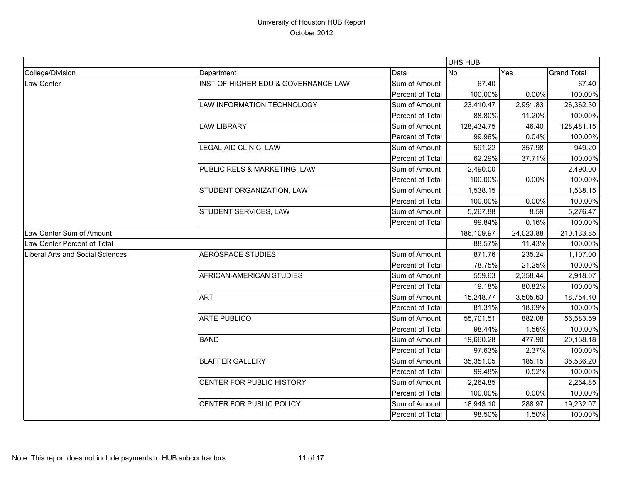|                                  |                                     |                         | <b>UHS HUB</b> |           |                    |
|----------------------------------|-------------------------------------|-------------------------|----------------|-----------|--------------------|
| College/Division                 | Department                          | Data                    | <b>No</b>      | Yes       | <b>Grand Total</b> |
| Law Center                       | INST OF HIGHER EDU & GOVERNANCE LAW | Sum of Amount           | 67.40          |           | 67.40              |
|                                  |                                     | Percent of Total        | 100.00%        | 0.00%     | 100.00%            |
|                                  | LAW INFORMATION TECHNOLOGY          | Sum of Amount           | 23,410.47      | 2,951.83  | 26,362.30          |
|                                  |                                     | Percent of Total        | 88.80%         | 11.20%    | 100.00%            |
|                                  | <b>LAW LIBRARY</b>                  | Sum of Amount           | 128,434.75     | 46.40     | 128,481.15         |
|                                  |                                     | <b>Percent of Total</b> | 99.96%         | 0.04%     | 100.00%            |
|                                  | LEGAL AID CLINIC, LAW               | Sum of Amount           | 591.22         | 357.98    | 949.20             |
|                                  |                                     | Percent of Total        | 62.29%         | 37.71%    | 100.00%            |
|                                  | PUBLIC RELS & MARKETING, LAW        | Sum of Amount           | 2,490.00       |           | 2,490.00           |
|                                  |                                     | Percent of Total        | 100.00%        | 0.00%     | 100.00%            |
|                                  | STUDENT ORGANIZATION, LAW           | Sum of Amount           | 1,538.15       |           | 1,538.15           |
|                                  |                                     | Percent of Total        | 100.00%        | 0.00%     | 100.00%            |
|                                  | STUDENT SERVICES, LAW               | Sum of Amount           | 5,267.88       | 8.59      | 5,276.47           |
|                                  |                                     | Percent of Total        | 99.84%         | 0.16%     | 100.00%            |
| Law Center Sum of Amount         |                                     |                         | 186,109.97     | 24,023.88 | 210,133.85         |
| Law Center Percent of Total      |                                     |                         | 88.57%         | 11.43%    | 100.00%            |
| Liberal Arts and Social Sciences | <b>AEROSPACE STUDIES</b>            | Sum of Amount           | 871.76         | 235.24    | 1,107.00           |
|                                  |                                     | Percent of Total        | 78.75%         | 21.25%    | 100.00%            |
|                                  | AFRICAN-AMERICAN STUDIES            | Sum of Amount           | 559.63         | 2,358.44  | 2,918.07           |
|                                  |                                     | Percent of Total        | 19.18%         | 80.82%    | 100.00%            |
|                                  | <b>ART</b>                          | Sum of Amount           | 15,248.77      | 3,505.63  | 18,754.40          |
|                                  |                                     | Percent of Total        | 81.31%         | 18.69%    | 100.00%            |
|                                  | <b>ARTE PUBLICO</b>                 | Sum of Amount           | 55,701.51      | 882.08    | 56,583.59          |
|                                  |                                     | Percent of Total        | 98.44%         | 1.56%     | 100.00%            |
|                                  | <b>BAND</b>                         | Sum of Amount           | 19,660.28      | 477.90    | 20,138.18          |
|                                  |                                     | Percent of Total        | 97.63%         | 2.37%     | 100.00%            |
|                                  | <b>BLAFFER GALLERY</b>              | Sum of Amount           | 35,351.05      | 185.15    | 35,536.20          |
|                                  |                                     | Percent of Total        | 99.48%         | 0.52%     | 100.00%            |
|                                  | CENTER FOR PUBLIC HISTORY           | Sum of Amount           | 2,264.85       |           | 2,264.85           |
|                                  |                                     | Percent of Total        | 100.00%        | 0.00%     | 100.00%            |
|                                  | CENTER FOR PUBLIC POLICY            | Sum of Amount           | 18,943.10      | 288.97    | 19,232.07          |
|                                  |                                     | Percent of Total        | 98.50%         | 1.50%     | 100.00%            |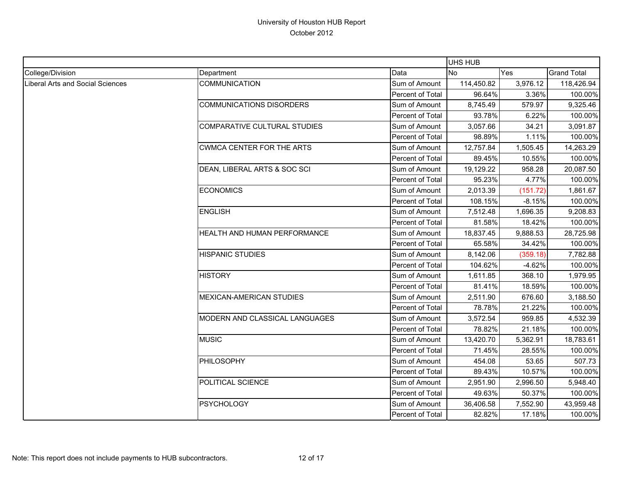|                                         |                                 |                  | UHS HUB    |          |                    |
|-----------------------------------------|---------------------------------|------------------|------------|----------|--------------------|
| College/Division                        | Department                      | Data             | <b>No</b>  | Yes      | <b>Grand Total</b> |
| <b>Liberal Arts and Social Sciences</b> | <b>COMMUNICATION</b>            | Sum of Amount    | 114,450.82 | 3,976.12 | 118,426.94         |
|                                         |                                 | Percent of Total | 96.64%     | 3.36%    | 100.00%            |
|                                         | <b>COMMUNICATIONS DISORDERS</b> | Sum of Amount    | 8,745.49   | 579.97   | 9,325.46           |
|                                         |                                 | Percent of Total | 93.78%     | 6.22%    | 100.00%            |
|                                         | COMPARATIVE CULTURAL STUDIES    | Sum of Amount    | 3,057.66   | 34.21    | 3,091.87           |
|                                         |                                 | Percent of Total | 98.89%     | 1.11%    | 100.00%            |
|                                         | CWMCA CENTER FOR THE ARTS       | Sum of Amount    | 12,757.84  | 1,505.45 | 14,263.29          |
|                                         |                                 | Percent of Total | 89.45%     | 10.55%   | 100.00%            |
|                                         | DEAN, LIBERAL ARTS & SOC SCI    | Sum of Amount    | 19,129.22  | 958.28   | 20,087.50          |
|                                         |                                 | Percent of Total | 95.23%     | 4.77%    | 100.00%            |
|                                         | <b>ECONOMICS</b>                | Sum of Amount    | 2,013.39   | (151.72) | 1,861.67           |
|                                         |                                 | Percent of Total | 108.15%    | $-8.15%$ | 100.00%            |
|                                         | <b>ENGLISH</b>                  | Sum of Amount    | 7,512.48   | 1,696.35 | 9,208.83           |
|                                         |                                 | Percent of Total | 81.58%     | 18.42%   | 100.00%            |
|                                         | HEALTH AND HUMAN PERFORMANCE    | Sum of Amount    | 18,837.45  | 9,888.53 | 28,725.98          |
|                                         |                                 | Percent of Total | 65.58%     | 34.42%   | 100.00%            |
|                                         | <b>HISPANIC STUDIES</b>         | Sum of Amount    | 8,142.06   | (359.18) | 7,782.88           |
|                                         |                                 | Percent of Total | 104.62%    | $-4.62%$ | 100.00%            |
|                                         | <b>HISTORY</b>                  | Sum of Amount    | 1,611.85   | 368.10   | 1,979.95           |
|                                         |                                 | Percent of Total | 81.41%     | 18.59%   | 100.00%            |
|                                         | MEXICAN-AMERICAN STUDIES        | Sum of Amount    | 2,511.90   | 676.60   | 3,188.50           |
|                                         |                                 | Percent of Total | 78.78%     | 21.22%   | 100.00%            |
|                                         | MODERN AND CLASSICAL LANGUAGES  | Sum of Amount    | 3,572.54   | 959.85   | 4,532.39           |
|                                         |                                 | Percent of Total | 78.82%     | 21.18%   | 100.00%            |
|                                         | <b>MUSIC</b>                    | Sum of Amount    | 13,420.70  | 5,362.91 | 18,783.61          |
|                                         |                                 | Percent of Total | 71.45%     | 28.55%   | 100.00%            |
|                                         | PHILOSOPHY                      | Sum of Amount    | 454.08     | 53.65    | 507.73             |
|                                         |                                 | Percent of Total | 89.43%     | 10.57%   | 100.00%            |
|                                         | POLITICAL SCIENCE               | Sum of Amount    | 2,951.90   | 2,996.50 | 5,948.40           |
|                                         |                                 | Percent of Total | 49.63%     | 50.37%   | 100.00%            |
|                                         | <b>PSYCHOLOGY</b>               | Sum of Amount    | 36,406.58  | 7,552.90 | 43,959.48          |
|                                         |                                 | Percent of Total | 82.82%     | 17.18%   | 100.00%            |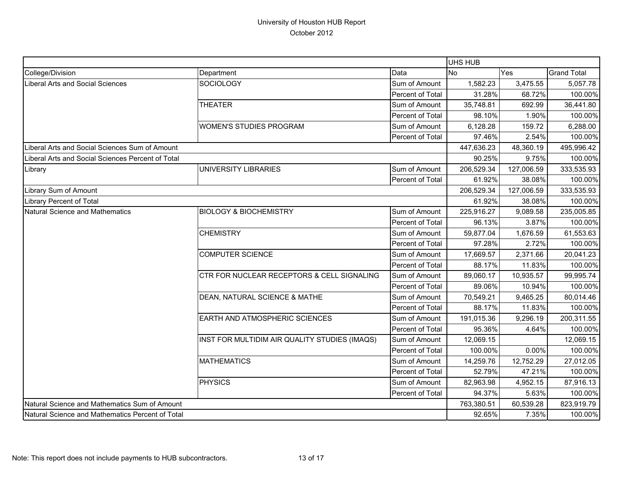|                                                   |                                               |                  | UHS HUB          |                                                                                                                                                                                                                                    |                    |
|---------------------------------------------------|-----------------------------------------------|------------------|------------------|------------------------------------------------------------------------------------------------------------------------------------------------------------------------------------------------------------------------------------|--------------------|
| College/Division                                  | Department                                    | Data             | <b>No</b><br>Yes |                                                                                                                                                                                                                                    | <b>Grand Total</b> |
| <b>Liberal Arts and Social Sciences</b>           | SOCIOLOGY                                     | Sum of Amount    | 1,582.23         | 3,475.55                                                                                                                                                                                                                           | 5,057.78           |
|                                                   |                                               | Percent of Total | 31.28%           | 68.72%                                                                                                                                                                                                                             | 100.00%            |
|                                                   | <b>THEATER</b>                                | Sum of Amount    | 35,748.81        | 692.99                                                                                                                                                                                                                             | 36,441.80          |
|                                                   |                                               | Percent of Total | 98.10%           | 1.90%                                                                                                                                                                                                                              | 100.00%            |
|                                                   | <b>WOMEN'S STUDIES PROGRAM</b>                | Sum of Amount    | 6,128.28         | 159.72                                                                                                                                                                                                                             | 6,288.00           |
|                                                   |                                               | Percent of Total | 97.46%           |                                                                                                                                                                                                                                    | 100.00%            |
| Liberal Arts and Social Sciences Sum of Amount    |                                               |                  | 447,636.23       | 48,360.19                                                                                                                                                                                                                          | 495,996.42         |
| Liberal Arts and Social Sciences Percent of Total |                                               |                  | 90.25%           |                                                                                                                                                                                                                                    | 100.00%            |
| Library                                           | UNIVERSITY LIBRARIES                          | Sum of Amount    | 206,529.34       | 127,006.59                                                                                                                                                                                                                         | 333,535.93         |
|                                                   |                                               | Percent of Total | 61.92%           | 38.08%                                                                                                                                                                                                                             | 100.00%            |
| Library Sum of Amount                             |                                               |                  | 206,529.34       | 127,006.59                                                                                                                                                                                                                         | 333,535.93         |
| Library Percent of Total                          |                                               |                  | 61.92%           |                                                                                                                                                                                                                                    | 100.00%            |
| <b>Natural Science and Mathematics</b>            | <b>BIOLOGY &amp; BIOCHEMISTRY</b>             | Sum of Amount    | 225,916.27       | 9,089.58                                                                                                                                                                                                                           | 235,005.85         |
|                                                   |                                               | Percent of Total | 96.13%           |                                                                                                                                                                                                                                    | 100.00%            |
|                                                   | <b>CHEMISTRY</b>                              | Sum of Amount    | 59,877.04        | 1,676.59                                                                                                                                                                                                                           | 61,553.63          |
|                                                   |                                               | Percent of Total | 97.28%           | 2.72%                                                                                                                                                                                                                              | 100.00%            |
|                                                   | <b>COMPUTER SCIENCE</b>                       | Sum of Amount    | 17,669.57        | 2,371.66                                                                                                                                                                                                                           | 20,041.23          |
|                                                   |                                               | Percent of Total | 88.17%           |                                                                                                                                                                                                                                    | 100.00%            |
|                                                   | CTR FOR NUCLEAR RECEPTORS & CELL SIGNALING    | Sum of Amount    | 89,060.17        | 10,935.57                                                                                                                                                                                                                          | 99,995.74          |
|                                                   |                                               | Percent of Total | 89.06%           |                                                                                                                                                                                                                                    | 100.00%            |
|                                                   | DEAN, NATURAL SCIENCE & MATHE                 | Sum of Amount    | 70,549.21        | 9,465.25                                                                                                                                                                                                                           | 80,014.46          |
|                                                   |                                               | Percent of Total | 88.17%           | 11.83%                                                                                                                                                                                                                             | 100.00%            |
|                                                   | EARTH AND ATMOSPHERIC SCIENCES                | Sum of Amount    | 191,015.36       | 2.54%<br>9.75%<br>38.08%<br>3.87%<br>11.83%<br>10.94%<br>9,296.19<br>95.36%<br>4.64%<br>12,069.15<br>100.00%<br>0.00%<br>14,259.76<br>12,752.29<br>52.79%<br>47.21%<br>4,952.15<br>94.37%<br>5.63%<br>60,539.28<br>92.65%<br>7.35% | 200,311.55         |
|                                                   |                                               | Percent of Total |                  |                                                                                                                                                                                                                                    | 100.00%            |
|                                                   | INST FOR MULTIDIM AIR QUALITY STUDIES (IMAQS) | Sum of Amount    |                  |                                                                                                                                                                                                                                    | 12,069.15          |
|                                                   |                                               | Percent of Total |                  |                                                                                                                                                                                                                                    | 100.00%            |
|                                                   | <b>MATHEMATICS</b>                            | Sum of Amount    |                  |                                                                                                                                                                                                                                    | 27,012.05          |
|                                                   |                                               | Percent of Total |                  |                                                                                                                                                                                                                                    | 100.00%            |
|                                                   | <b>PHYSICS</b>                                | Sum of Amount    | 82,963.98        |                                                                                                                                                                                                                                    | 87,916.13          |
|                                                   |                                               | Percent of Total |                  |                                                                                                                                                                                                                                    | 100.00%            |
| Natural Science and Mathematics Sum of Amount     |                                               |                  | 763,380.51       |                                                                                                                                                                                                                                    | 823,919.79         |
| Natural Science and Mathematics Percent of Total  |                                               |                  |                  |                                                                                                                                                                                                                                    | 100.00%            |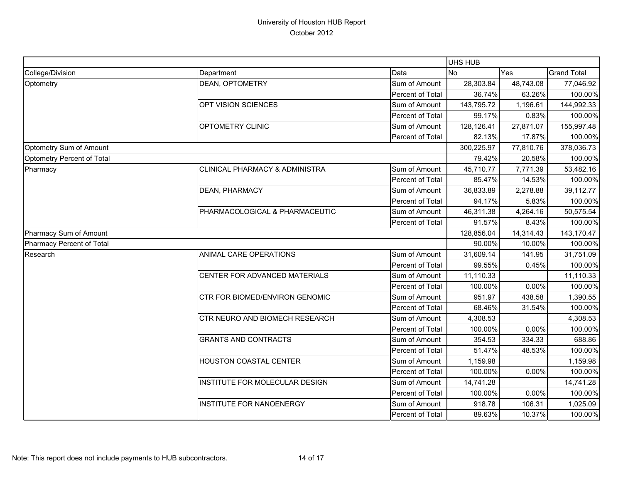|                            |                                 |                         | UHS HUB    |            |                    |
|----------------------------|---------------------------------|-------------------------|------------|------------|--------------------|
| College/Division           | Department                      | Data                    | <b>No</b>  | Yes        | <b>Grand Total</b> |
| Optometry                  | DEAN, OPTOMETRY                 | Sum of Amount           | 28,303.84  | 48,743.08  | 77,046.92          |
|                            |                                 | Percent of Total        | 36.74%     | 63.26%     | 100.00%            |
|                            | OPT VISION SCIENCES             | Sum of Amount           | 143,795.72 | 1,196.61   | 144,992.33         |
|                            |                                 | Percent of Total        | 99.17%     | 0.83%      | 100.00%            |
|                            | OPTOMETRY CLINIC                | Sum of Amount           | 128,126.41 | 27,871.07  | 155,997.48         |
|                            |                                 | <b>Percent of Total</b> | 82.13%     | 17.87%     | 100.00%            |
| Optometry Sum of Amount    |                                 |                         | 300,225.97 | 77,810.76  | 378,036.73         |
| Optometry Percent of Total |                                 |                         | 79.42%     | 20.58%     | 100.00%            |
| Pharmacy                   | CLINICAL PHARMACY & ADMINISTRA  | Sum of Amount           | 45,710.77  | 7,771.39   | 53,482.16          |
|                            |                                 | Percent of Total        | 85.47%     | 14.53%     | 100.00%            |
|                            | <b>DEAN, PHARMACY</b>           | Sum of Amount           | 36,833.89  | 2,278.88   | 39,112.77          |
|                            |                                 | Percent of Total        | 94.17%     | 5.83%      | 100.00%            |
|                            | PHARMACOLOGICAL & PHARMACEUTIC  | Sum of Amount           | 46,311.38  | 4,264.16   | 50,575.54          |
|                            |                                 | Percent of Total        | 91.57%     | 8.43%      | 100.00%            |
| Pharmacy Sum of Amount     |                                 | 128,856.04              | 14,314.43  | 143,170.47 |                    |
| Pharmacy Percent of Total  |                                 |                         | 90.00%     | 10.00%     | 100.00%            |
| Research                   | ANIMAL CARE OPERATIONS          | Sum of Amount           | 31,609.14  | 141.95     | 31,751.09          |
|                            |                                 | Percent of Total        | 99.55%     | 0.45%      | 100.00%            |
|                            | CENTER FOR ADVANCED MATERIALS   | Sum of Amount           | 11,110.33  |            | 11,110.33          |
|                            |                                 | Percent of Total        | 100.00%    | 0.00%      | 100.00%            |
|                            | CTR FOR BIOMED/ENVIRON GENOMIC  | Sum of Amount           | 951.97     | 438.58     | 1,390.55           |
|                            |                                 | Percent of Total        | 68.46%     | 31.54%     | 100.00%            |
|                            | CTR NEURO AND BIOMECH RESEARCH  | Sum of Amount           | 4,308.53   |            | 4,308.53           |
|                            |                                 | Percent of Total        | 100.00%    | 0.00%      | 100.00%            |
|                            | <b>GRANTS AND CONTRACTS</b>     | Sum of Amount           | 354.53     | 334.33     | 688.86             |
|                            |                                 | Percent of Total        | 51.47%     | 48.53%     | 100.00%            |
|                            | HOUSTON COASTAL CENTER          | Sum of Amount           | 1,159.98   |            | 1,159.98           |
|                            |                                 | Percent of Total        | 100.00%    | 0.00%      | 100.00%            |
|                            | INSTITUTE FOR MOLECULAR DESIGN  | Sum of Amount           | 14,741.28  |            | 14,741.28          |
|                            |                                 | Percent of Total        | 100.00%    | 0.00%      | 100.00%            |
|                            | <b>INSTITUTE FOR NANOENERGY</b> | Sum of Amount           | 918.78     | 106.31     | 1,025.09           |
|                            |                                 | Percent of Total        | 89.63%     | 10.37%     | 100.00%            |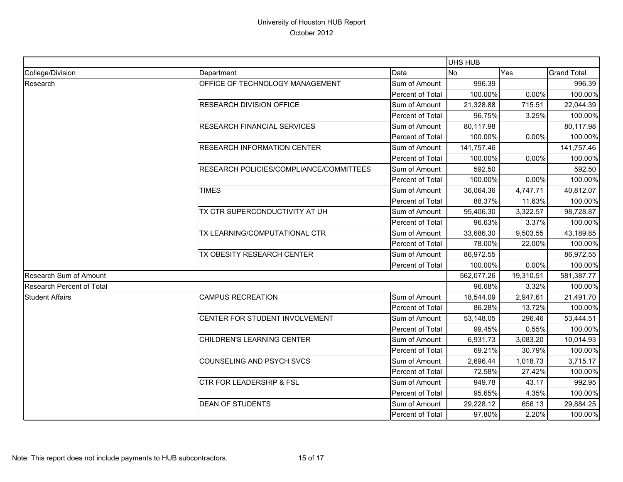|                                  |                                         |                  | <b>UHS HUB</b> |                                                                                                                                                                                                                                                                                                                                                                                                                                                                       |                    |
|----------------------------------|-----------------------------------------|------------------|----------------|-----------------------------------------------------------------------------------------------------------------------------------------------------------------------------------------------------------------------------------------------------------------------------------------------------------------------------------------------------------------------------------------------------------------------------------------------------------------------|--------------------|
| College/Division                 | Department                              | Data             | <b>No</b>      | Yes                                                                                                                                                                                                                                                                                                                                                                                                                                                                   | <b>Grand Total</b> |
| Research                         | OFFICE OF TECHNOLOGY MANAGEMENT         | Sum of Amount    | 996.39         |                                                                                                                                                                                                                                                                                                                                                                                                                                                                       | 996.39             |
|                                  |                                         | Percent of Total | 100.00%        | 0.00%                                                                                                                                                                                                                                                                                                                                                                                                                                                                 |                    |
|                                  | <b>RESEARCH DIVISION OFFICE</b>         | Sum of Amount    | 21,328.88      | 715.51                                                                                                                                                                                                                                                                                                                                                                                                                                                                | 22,044.39          |
|                                  |                                         | Percent of Total | 96.75%         | 3.25%                                                                                                                                                                                                                                                                                                                                                                                                                                                                 |                    |
|                                  | <b>RESEARCH FINANCIAL SERVICES</b>      | Sum of Amount    | 80,117.98      |                                                                                                                                                                                                                                                                                                                                                                                                                                                                       | 80,117.98          |
|                                  |                                         | Percent of Total | 100.00%        | 0.00%                                                                                                                                                                                                                                                                                                                                                                                                                                                                 |                    |
|                                  | <b>RESEARCH INFORMATION CENTER</b>      | Sum of Amount    | 141,757.46     |                                                                                                                                                                                                                                                                                                                                                                                                                                                                       | 141,757.46         |
|                                  |                                         | Percent of Total | 100.00%        | 0.00%                                                                                                                                                                                                                                                                                                                                                                                                                                                                 | 100.00%            |
|                                  | RESEARCH POLICIES/COMPLIANCE/COMMITTEES | Sum of Amount    | 592.50         |                                                                                                                                                                                                                                                                                                                                                                                                                                                                       | 592.50             |
|                                  |                                         | Percent of Total | 100.00%        | 0.00%                                                                                                                                                                                                                                                                                                                                                                                                                                                                 |                    |
|                                  | <b>TIMES</b>                            | Sum of Amount    | 36,064.36      | 4,747.71                                                                                                                                                                                                                                                                                                                                                                                                                                                              | 40,812.07          |
|                                  |                                         | Percent of Total | 88.37%         | 11.63%                                                                                                                                                                                                                                                                                                                                                                                                                                                                | 100.00%            |
|                                  | TX CTR SUPERCONDUCTIVITY AT UH          | Sum of Amount    | 95,406.30      | 100.00%<br>100.00%<br>100.00%<br>100.00%<br>3,322.57<br>98,728.87<br>3.37%<br>100.00%<br>43,189.85<br>9,503.55<br>22.00%<br>100.00%<br>86,972.55<br>0.00%<br>100.00%<br>19,310.51<br>581,387.77<br>3.32%<br>100.00%<br>2,947.61<br>21,491.70<br>13.72%<br>100.00%<br>53,444.51<br>296.46<br>0.55%<br>100.00%<br>10,014.93<br>3,083.20<br>30.79%<br>100.00%<br>3,715.17<br>1,018.73<br>27.42%<br>100.00%<br>43.17<br>992.95<br>4.35%<br>100.00%<br>656.13<br>29,884.25 |                    |
|                                  |                                         | Percent of Total |                |                                                                                                                                                                                                                                                                                                                                                                                                                                                                       |                    |
|                                  | TX LEARNING/COMPUTATIONAL CTR           | Sum of Amount    | 33,686.30      | 96.63%<br>78.00%                                                                                                                                                                                                                                                                                                                                                                                                                                                      |                    |
|                                  |                                         | Percent of Total |                |                                                                                                                                                                                                                                                                                                                                                                                                                                                                       |                    |
|                                  | TX OBESITY RESEARCH CENTER              | Sum of Amount    | 86,972.55      |                                                                                                                                                                                                                                                                                                                                                                                                                                                                       |                    |
|                                  |                                         | Percent of Total | 100.00%        |                                                                                                                                                                                                                                                                                                                                                                                                                                                                       |                    |
| Research Sum of Amount           |                                         |                  | 562,077.26     |                                                                                                                                                                                                                                                                                                                                                                                                                                                                       |                    |
| <b>Research Percent of Total</b> |                                         | 96.68%           |                |                                                                                                                                                                                                                                                                                                                                                                                                                                                                       |                    |
| <b>Student Affairs</b>           | <b>CAMPUS RECREATION</b>                | Sum of Amount    | 18,544.09      |                                                                                                                                                                                                                                                                                                                                                                                                                                                                       |                    |
|                                  |                                         | Percent of Total | 86.28%         |                                                                                                                                                                                                                                                                                                                                                                                                                                                                       |                    |
|                                  | CENTER FOR STUDENT INVOLVEMENT          | Sum of Amount    | 53,148.05      |                                                                                                                                                                                                                                                                                                                                                                                                                                                                       |                    |
|                                  |                                         | Percent of Total | 99.45%         |                                                                                                                                                                                                                                                                                                                                                                                                                                                                       |                    |
|                                  | CHILDREN'S LEARNING CENTER              | Sum of Amount    | 6,931.73       |                                                                                                                                                                                                                                                                                                                                                                                                                                                                       |                    |
|                                  |                                         | Percent of Total | 69.21%         |                                                                                                                                                                                                                                                                                                                                                                                                                                                                       |                    |
|                                  | COUNSELING AND PSYCH SVCS               | Sum of Amount    | 2,696.44       |                                                                                                                                                                                                                                                                                                                                                                                                                                                                       |                    |
|                                  |                                         | Percent of Total | 72.58%         |                                                                                                                                                                                                                                                                                                                                                                                                                                                                       |                    |
|                                  | <b>CTR FOR LEADERSHIP &amp; FSL</b>     | Sum of Amount    | 949.78         |                                                                                                                                                                                                                                                                                                                                                                                                                                                                       |                    |
|                                  |                                         | Percent of Total | 95.65%         |                                                                                                                                                                                                                                                                                                                                                                                                                                                                       |                    |
|                                  | <b>DEAN OF STUDENTS</b>                 | Sum of Amount    | 29,228.12      |                                                                                                                                                                                                                                                                                                                                                                                                                                                                       |                    |
|                                  |                                         | Percent of Total | 97.80%         | 2.20%                                                                                                                                                                                                                                                                                                                                                                                                                                                                 | 100.00%            |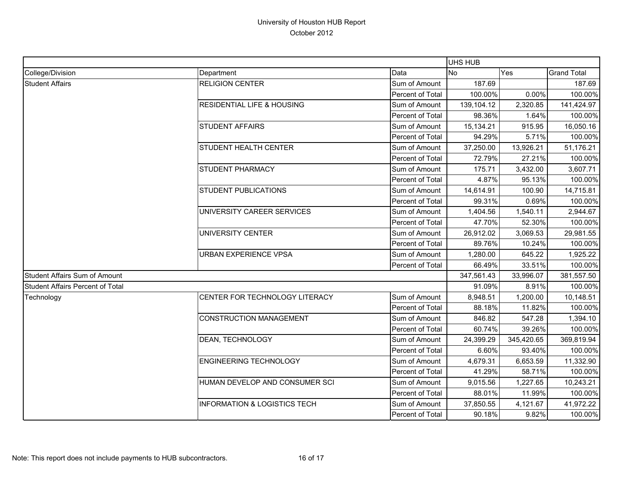|                                         |                                                                                                                                                                                                                                                                           | UHS HUB          |            |            |                                                                                                                                |
|-----------------------------------------|---------------------------------------------------------------------------------------------------------------------------------------------------------------------------------------------------------------------------------------------------------------------------|------------------|------------|------------|--------------------------------------------------------------------------------------------------------------------------------|
| College/Division                        | Department                                                                                                                                                                                                                                                                | Data             | <b>No</b>  | Yes        | <b>Grand Total</b>                                                                                                             |
| <b>Student Affairs</b>                  | <b>RELIGION CENTER</b>                                                                                                                                                                                                                                                    | Sum of Amount    | 187.69     |            | 187.69                                                                                                                         |
|                                         |                                                                                                                                                                                                                                                                           | Percent of Total | 100.00%    | 0.00%      | 100.00%                                                                                                                        |
|                                         | <b>RESIDENTIAL LIFE &amp; HOUSING</b>                                                                                                                                                                                                                                     | Sum of Amount    | 139,104.12 | 2,320.85   | 141,424.97                                                                                                                     |
|                                         |                                                                                                                                                                                                                                                                           | Percent of Total | 98.36%     | 1.64%      | 100.00%                                                                                                                        |
|                                         | <b>STUDENT AFFAIRS</b>                                                                                                                                                                                                                                                    | Sum of Amount    | 15,134.21  | 915.95     | 16,050.16                                                                                                                      |
|                                         |                                                                                                                                                                                                                                                                           | Percent of Total | 94.29%     | 5.71%      | 100.00%                                                                                                                        |
|                                         | <b>STUDENT HEALTH CENTER</b>                                                                                                                                                                                                                                              | Sum of Amount    | 37,250.00  | 13,926.21  | 51,176.21                                                                                                                      |
|                                         |                                                                                                                                                                                                                                                                           | Percent of Total | 72.79%     | 27.21%     | 100.00%                                                                                                                        |
|                                         | <b>STUDENT PHARMACY</b>                                                                                                                                                                                                                                                   | Sum of Amount    | 175.71     | 3,432.00   | 3,607.71                                                                                                                       |
|                                         |                                                                                                                                                                                                                                                                           | Percent of Total | 4.87%      | 95.13%     | 100.00%                                                                                                                        |
|                                         | <b>STUDENT PUBLICATIONS</b><br>UNIVERSITY CAREER SERVICES<br>UNIVERSITY CENTER<br><b>URBAN EXPERIENCE VPSA</b><br>CENTER FOR TECHNOLOGY LITERACY<br><b>CONSTRUCTION MANAGEMENT</b><br>DEAN, TECHNOLOGY<br><b>ENGINEERING TECHNOLOGY</b><br>HUMAN DEVELOP AND CONSUMER SCI | Sum of Amount    | 14,614.91  | 100.90     | 14,715.81                                                                                                                      |
|                                         |                                                                                                                                                                                                                                                                           | Percent of Total | 99.31%     | 0.69%      | 100.00%<br>2,944.67<br>100.00%<br>29,981.55<br>100.00%<br>1,925.22<br>100.00%<br>381,557.50<br>100.00%<br>10,148.51<br>100.00% |
|                                         |                                                                                                                                                                                                                                                                           | Sum of Amount    | 1,404.56   | 1,540.11   |                                                                                                                                |
|                                         |                                                                                                                                                                                                                                                                           | Percent of Total | 47.70%     | 52.30%     |                                                                                                                                |
|                                         |                                                                                                                                                                                                                                                                           | Sum of Amount    | 26,912.02  | 3,069.53   |                                                                                                                                |
|                                         |                                                                                                                                                                                                                                                                           | Percent of Total | 89.76%     | 10.24%     |                                                                                                                                |
|                                         |                                                                                                                                                                                                                                                                           | Sum of Amount    | 1,280.00   | 645.22     |                                                                                                                                |
|                                         |                                                                                                                                                                                                                                                                           | Percent of Total | 66.49%     | 33.51%     |                                                                                                                                |
| <b>Student Affairs Sum of Amount</b>    |                                                                                                                                                                                                                                                                           |                  | 347,561.43 | 33,996.07  |                                                                                                                                |
| <b>Student Affairs Percent of Total</b> |                                                                                                                                                                                                                                                                           |                  | 91.09%     | 8.91%      |                                                                                                                                |
| Technology                              |                                                                                                                                                                                                                                                                           | Sum of Amount    | 8,948.51   | 1,200.00   |                                                                                                                                |
|                                         |                                                                                                                                                                                                                                                                           | Percent of Total | 88.18%     | 11.82%     |                                                                                                                                |
|                                         |                                                                                                                                                                                                                                                                           | Sum of Amount    | 846.82     | 547.28     | 1,394.10                                                                                                                       |
|                                         |                                                                                                                                                                                                                                                                           | Percent of Total | 60.74%     | 39.26%     | 100.00%                                                                                                                        |
|                                         |                                                                                                                                                                                                                                                                           | Sum of Amount    | 24,399.29  | 345,420.65 | 369,819.94                                                                                                                     |
|                                         |                                                                                                                                                                                                                                                                           | Percent of Total | 6.60%      | 93.40%     | 100.00%                                                                                                                        |
|                                         |                                                                                                                                                                                                                                                                           | Sum of Amount    | 4,679.31   | 6,653.59   | 11,332.90                                                                                                                      |
|                                         |                                                                                                                                                                                                                                                                           | Percent of Total | 41.29%     | 58.71%     | 100.00%                                                                                                                        |
|                                         |                                                                                                                                                                                                                                                                           | Sum of Amount    | 9,015.56   | 1,227.65   | 10,243.21                                                                                                                      |
|                                         |                                                                                                                                                                                                                                                                           | Percent of Total | 88.01%     | 11.99%     | 100.00%                                                                                                                        |
|                                         | <b>INFORMATION &amp; LOGISTICS TECH</b>                                                                                                                                                                                                                                   | Sum of Amount    | 37,850.55  | 4,121.67   | 41,972.22                                                                                                                      |
|                                         |                                                                                                                                                                                                                                                                           | Percent of Total | 90.18%     | 9.82%      | 100.00%                                                                                                                        |